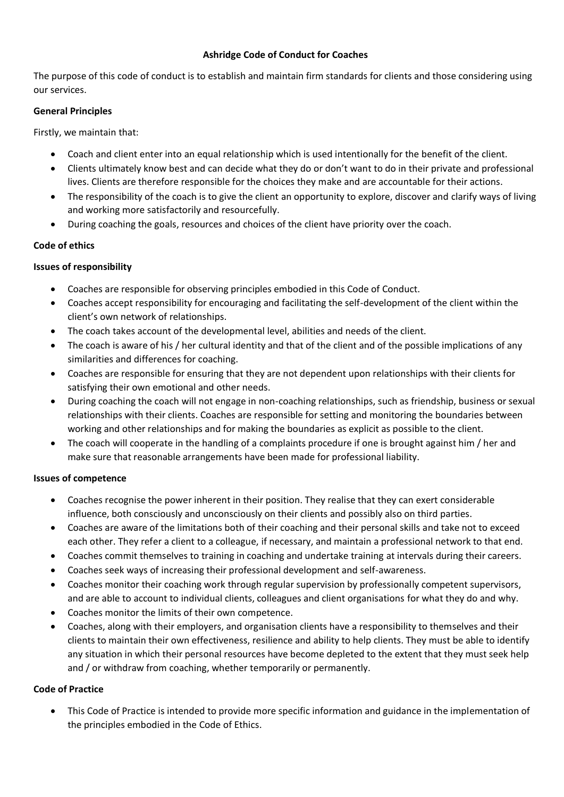#### **Ashridge Code of Conduct for Coaches**

The purpose of this code of conduct is to establish and maintain firm standards for clients and those considering using our services.

#### **General Principles**

Firstly, we maintain that:

- Coach and client enter into an equal relationship which is used intentionally for the benefit of the client.
- Clients ultimately know best and can decide what they do or don't want to do in their private and professional lives. Clients are therefore responsible for the choices they make and are accountable for their actions.
- The responsibility of the coach is to give the client an opportunity to explore, discover and clarify ways of living and working more satisfactorily and resourcefully.
- During coaching the goals, resources and choices of the client have priority over the coach.

# **Code of ethics**

## **Issues of responsibility**

- Coaches are responsible for observing principles embodied in this Code of Conduct.
- Coaches accept responsibility for encouraging and facilitating the self-development of the client within the client's own network of relationships.
- The coach takes account of the developmental level, abilities and needs of the client.
- The coach is aware of his / her cultural identity and that of the client and of the possible implications of any similarities and differences for coaching.
- Coaches are responsible for ensuring that they are not dependent upon relationships with their clients for satisfying their own emotional and other needs.
- During coaching the coach will not engage in non-coaching relationships, such as friendship, business or sexual relationships with their clients. Coaches are responsible for setting and monitoring the boundaries between working and other relationships and for making the boundaries as explicit as possible to the client.
- The coach will cooperate in the handling of a complaints procedure if one is brought against him / her and make sure that reasonable arrangements have been made for professional liability.

## **Issues of competence**

- Coaches recognise the power inherent in their position. They realise that they can exert considerable influence, both consciously and unconsciously on their clients and possibly also on third parties.
- Coaches are aware of the limitations both of their coaching and their personal skills and take not to exceed each other. They refer a client to a colleague, if necessary, and maintain a professional network to that end.
- Coaches commit themselves to training in coaching and undertake training at intervals during their careers.
- Coaches seek ways of increasing their professional development and self-awareness.
- Coaches monitor their coaching work through regular supervision by professionally competent supervisors, and are able to account to individual clients, colleagues and client organisations for what they do and why.
- Coaches monitor the limits of their own competence.
- Coaches, along with their employers, and organisation clients have a responsibility to themselves and their clients to maintain their own effectiveness, resilience and ability to help clients. They must be able to identify any situation in which their personal resources have become depleted to the extent that they must seek help and / or withdraw from coaching, whether temporarily or permanently.

## **Code of Practice**

• This Code of Practice is intended to provide more specific information and guidance in the implementation of the principles embodied in the Code of Ethics.